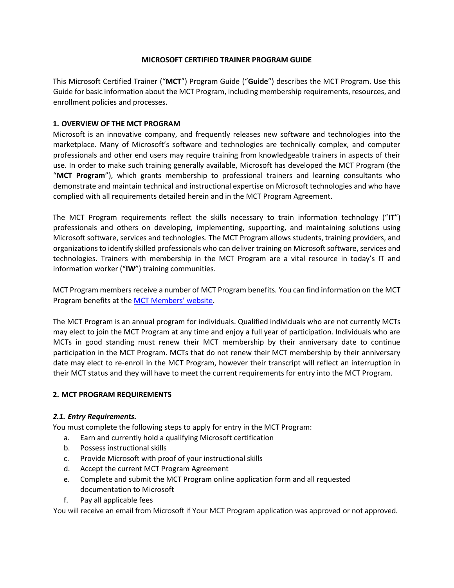# **MICROSOFT CERTIFIED TRAINER PROGRAM GUIDE**

This Microsoft Certified Trainer ("**MCT**") Program Guide ("**Guide**") describes the MCT Program. Use this Guide for basic information about the MCT Program, including membership requirements, resources, and enrollment policies and processes.

# **1. OVERVIEW OF THE MCT PROGRAM**

Microsoft is an innovative company, and frequently releases new software and technologies into the marketplace. Many of Microsoft's software and technologies are technically complex, and computer professionals and other end users may require training from knowledgeable trainers in aspects of their use. In order to make such training generally available, Microsoft has developed the MCT Program (the "**MCT Program**"), which grants membership to professional trainers and learning consultants who demonstrate and maintain technical and instructional expertise on Microsoft technologies and who have complied with all requirements detailed herein and in the MCT Program Agreement.

The MCT Program requirements reflect the skills necessary to train information technology ("**IT**") professionals and others on developing, implementing, supporting, and maintaining solutions using Microsoft software, services and technologies. The MCT Program allows students, training providers, and organizations to identify skilled professionals who can deliver training on Microsoft software, services and technologies. Trainers with membership in the MCT Program are a vital resource in today's IT and information worker ("**IW**") training communities.

MCT Program members receive a number of MCT Program benefits*.* You can find information on the MCT Program benefits at the [MCT Members](http://www.microsoft.com/learning/en/us/certification/mct.aspx#tab2)['](http://www.microsoft.com/learning/en/us/certification/mct.aspx#tab2) [website.](http://www.microsoft.com/learning/en/us/certification/mct.aspx#tab2) 

The MCT Program is an annual program for individuals. Qualified individuals who are not currently MCTs may elect to join the MCT Program at any time and enjoy a full year of participation. Individuals who are MCTs in good standing must renew their MCT membership by their anniversary date to continue participation in the MCT Program. MCTs that do not renew their MCT membership by their anniversary date may elect to re-enroll in the MCT Program, however their transcript will reflect an interruption in their MCT status and they will have to meet the current requirements for entry into the MCT Program.

### **2. MCT PROGRAM REQUIREMENTS**

### *2.1. Entry Requirements.*

You must complete the following steps to apply for entry in the MCT Program:

- a. Earn and currently hold a qualifying Microsoft certification
- b. Possess instructional skills
- c. Provide Microsoft with proof of your instructional skills
- d. Accept the current MCT Program Agreement
- e. Complete and submit the MCT Program online application form and all requested documentation to Microsoft
- f. Pay all applicable fees

You will receive an email from Microsoft if Your MCT Program application was approved or not approved.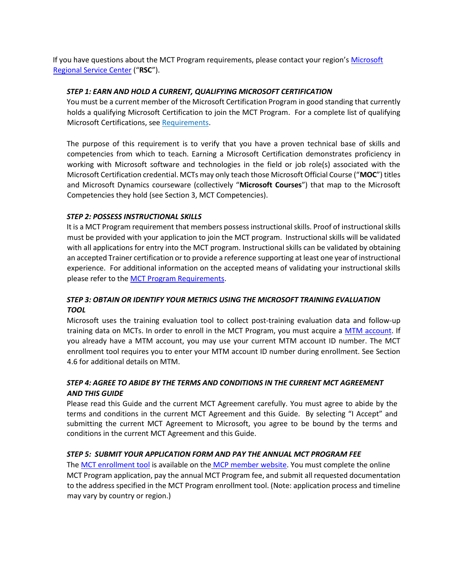If you have questions about the MCT Program requirements, please contact your region's [Microsoft](http://www.microsoft.com/learning/en/us/help/help-default.aspx) [Regional Service Center](http://www.microsoft.com/learning/en/us/help/help-default.aspx) ("**RSC**").

#### *STEP 1: EARN AND HOLD A CURRENT, QUALIFYING MICROSOFT CERTIFICATION*

You must be a current member of the Microsoft Certification Program in good standing that currently holds a qualifying Microsoft Certification to join the MCT Program. For a complete list of qualifying Microsoft Certifications, se[e Requirements.](http://www.microsoft.com/learning/en/us/mct-certification.aspx#tab3)

The purpose of this requirement is to verify that you have a proven technical base of skills and competencies from which to teach. Earning a Microsoft Certification demonstrates proficiency in working with Microsoft software and technologies in the field or job role(s) associated with the Microsoft Certification credential. MCTs may only teach those Microsoft Official Course ("**MOC**") titles and Microsoft Dynamics courseware (collectively "**Microsoft Courses**") that map to the Microsoft Competencies they hold (see Section 3, MCT Competencies).

#### *STEP 2: POSSESS INSTRUCTIONAL SKILLS*

It is a MCT Program requirement that members possess instructional skills. Proof of instructional skills must be provided with your application to join the MCT program. Instructional skills will be validated with all applications for entry into the MCT program. Instructional skills can be validated by obtaining an accepted Trainer certification or to provide a reference supporting at least one year of instructional experience. For additional information on the accepted means of validating your instructional skills please refer to th[e MCT Program Requirements.](http://www.microsoft.com/learning/en-us/mct-certification.aspx)

# *STEP 3: OBTAIN OR IDENTIFY YOUR METRICS USING THE MICROSOFT TRAINING EVALUATION TOOL*

Microsoft uses the training evaluation tool to collect post-training evaluation data and follow-up training data on MCTs. In order to enroll in the MCT Program, you must acquire a [MTM account.](http://www.knowledgeadvisors.com/newmctinmtm/) If you already have a MTM account, you may use your current MTM account ID number. The MCT enrollment tool requires you to enter your MTM account ID number during enrollment. See Section 4.6 for additional details on MTM.

# *STEP 4: AGREE TO ABIDE BY THE TERMS AND CONDITIONS IN THE CURRENT MCT AGREEMENT AND THIS GUIDE*

Please read this Guide and the current MCT Agreement carefully. You must agree to abide by the terms and conditions in the current MCT Agreement and this Guide. By selecting "I Accept" and submitting the current MCT Agreement to Microsoft, you agree to be bound by the terms and conditions in the current MCT Agreement and this Guide.

#### *STEP 5: SUBMIT YOUR APPLICATION FORM AND PAY THE ANNUAL MCT PROGRAM FEE*

The [MCT enrollment tool](https://mcp.microsoft.com/mcp/enrollment/enrollment.aspx) is available on the [MCP](https://mcp.microsoft.com/mcp/enrollment/enrollment.aspx) [member website.](https://mcp.microsoft.com/mcp/enrollment/enrollment.aspx) You must complete the online MCT Program application, pay the annual MCT Program fee, and submit all requested documentation to the address specified in the MCT Program enrollment tool. (Note: application process and timeline may vary by country or region.)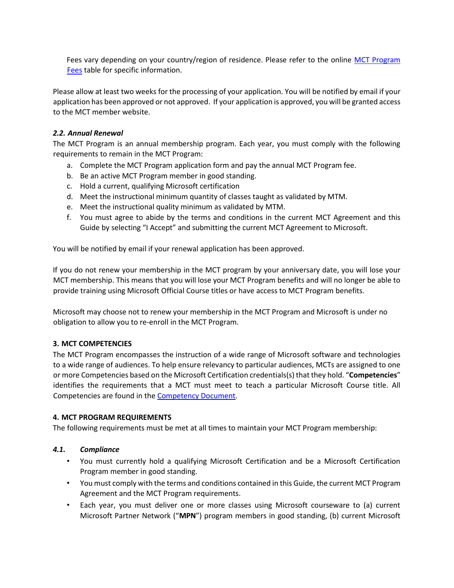Fees vary depending on your country/region of residence. Please refer to the online [MCT Program](http://www.microsoft.com/learning/en/us/certification/mct-fees.aspx) [Fees](http://www.microsoft.com/learning/en/us/certification/mct-fees.aspx) [t](http://www.microsoft.com/learning/en/us/certification/mct-fees.aspx)able for specific information.

Please allow at least two weeks for the processing of your application. You will be notified by email if your application has been approved or not approved. If your application is approved, you will be granted access to the MCT member website.

## *2.2. Annual Renewal*

The MCT Program is an annual membership program. Each year, you must comply with the following requirements to remain in the MCT Program:

- a. Complete the MCT Program application form and pay the annual MCT Program fee.
- b. Be an active MCT Program member in good standing.
- c. Hold a current, qualifying Microsoft certification
- d. Meet the instructional minimum quantity of classes taught as validated by MTM.
- e. Meet the instructional quality minimum as validated by MTM.
- f. You must agree to abide by the terms and conditions in the current MCT Agreement and this Guide by selecting "I Accept" and submitting the current MCT Agreement to Microsoft.

You will be notified by email if your renewal application has been approved.

If you do not renew your membership in the MCT program by your anniversary date, you will lose your MCT membership. This means that you will lose your MCT Program benefits and will no longer be able to provide training using Microsoft Official Course titles or have access to MCT Program benefits.

Microsoft may choose not to renew your membership in the MCT Program and Microsoft is under no obligation to allow you to re-enroll in the MCT Program.

### **3. MCT COMPETENCIES**

The MCT Program encompasses the instruction of a wide range of Microsoft software and technologies to a wide range of audiences. To help ensure relevancy to particular audiences, MCTs are assigned to one or more Competencies based on the Microsoft Certification credentials(s) that they hold. "**Competencies**" identifies the requirements that a MCT must meet to teach a particular Microsoft Course title. All Competencies are found in the [Competency Document.](http://download.microsoft.com/download/6/6/9/6695205D-F109-47DA-9C0F-D2582E319189/MCT_Program_Competencies.xlsm)

### **4. MCT PROGRAM REQUIREMENTS**

The following requirements must be met at all times to maintain your MCT Program membership:

### *4.1. Compliance*

- You must currently hold a qualifying Microsoft Certification and be a Microsoft Certification Program member in good standing.
- You must comply with the terms and conditions contained in this Guide, the current MCT Program Agreement and the MCT Program requirements.
- Each year, you must deliver one or more classes using Microsoft courseware to (a) current Microsoft Partner Network ("**MPN**") program members in good standing, (b) current Microsoft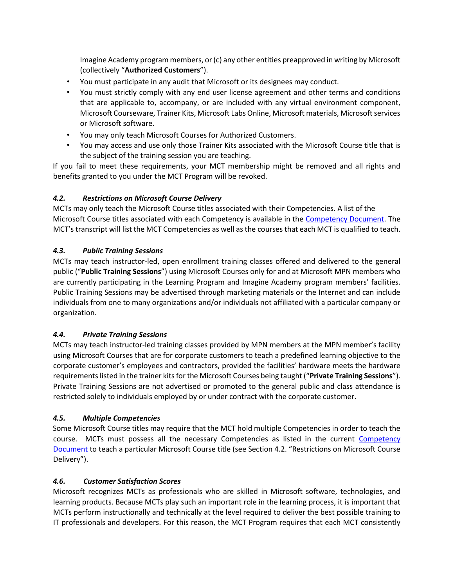Imagine Academy program members, or (c) any other entities preapproved in writing by Microsoft (collectively "**Authorized Customers**").

- You must participate in any audit that Microsoft or its designees may conduct.
- You must strictly comply with any end user license agreement and other terms and conditions that are applicable to, accompany, or are included with any virtual environment component, Microsoft Courseware, Trainer Kits, Microsoft Labs Online, Microsoft materials, Microsoft services or Microsoft software.
- You may only teach Microsoft Courses for Authorized Customers.
- You may access and use only those Trainer Kits associated with the Microsoft Course title that is the subject of the training session you are teaching.

If you fail to meet these requirements, your MCT membership might be removed and all rights and benefits granted to you under the MCT Program will be revoked.

# *4.2. Restrictions on Microsoft Course Delivery*

MCTs may only teach the Microsoft Course titles associated with their Competencies. A list of the Microsoft Course titles associated with each Competency is available in the [Competency Document.](https://www.microsoft.com/learning/members/en/us/mct/mct-competencies.aspx) The MCT's transcript will list the MCT Competencies as well as the courses that each MCT is qualified to teach.

# *4.3. Public Training Sessions*

MCTs may teach instructor-led, open enrollment training classes offered and delivered to the general public ("**Public Training Sessions**") using Microsoft Courses only for and at Microsoft MPN members who are currently participating in the Learning Program and Imagine Academy program members' facilities. Public Training Sessions may be advertised through marketing materials or the Internet and can include individuals from one to many organizations and/or individuals not affiliated with a particular company or organization.

### *4.4. Private Training Sessions*

MCTs may teach instructor-led training classes provided by MPN members at the MPN member's facility using Microsoft Courses that are for corporate customers to teach a predefined learning objective to the corporate customer's employees and contractors, provided the facilities' hardware meets the hardware requirements listed in the trainer kits for the Microsoft Courses being taught ("**Private Training Sessions**"). Private Training Sessions are not advertised or promoted to the general public and class attendance is restricted solely to individuals employed by or under contract with the corporate customer.

### *4.5. Multiple Competencies*

Some Microsoft Course titles may require that the MCT hold multiple Competencies in order to teach the course. MCTs must possess all the necessary Competencies as listed in the current [Competency](https://www.microsoft.com/learning/members/en/us/mct/mct-competencies.aspx) [Document](https://www.microsoft.com/learning/members/en/us/mct/mct-competencies.aspx) to teach a particular Microsoft Course title (see Section 4.2. "Restrictions on Microsoft Course Delivery").

### *4.6. Customer Satisfaction Scores*

Microsoft recognizes MCTs as professionals who are skilled in Microsoft software, technologies, and learning products. Because MCTs play such an important role in the learning process, it is important that MCTs perform instructionally and technically at the level required to deliver the best possible training to IT professionals and developers. For this reason, the MCT Program requires that each MCT consistently